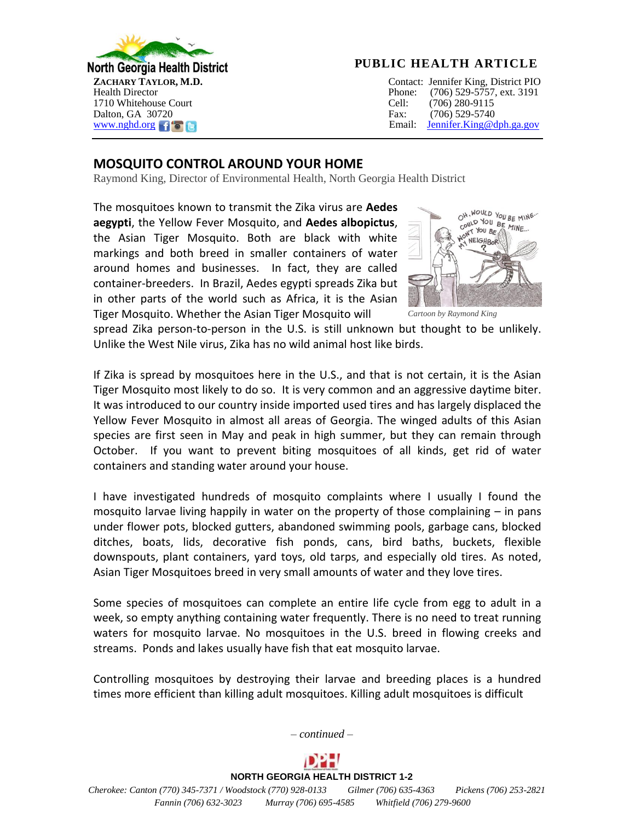

## **PUBLIC HEALTH ARTICLE**

**ZACHARY TAYLOR, M.D.**Contact: Jennifer King, District PIO Health DirectorPhone:(706) 529-5757, ext. 3191 [www.nghd.org](http://www.nghd.org/)f c and the state of the state of the state of the state of the state of the state of the state of the state of the state of the state of the state of the state of the state of the state of the state of the st

## **MOSQUITO CONTROL AROUND YOUR HOME**

Raymond King, Director of Environmental Health, North Georgia Health District

The mosquitoes known to transmit the Zika virus are **Aedes aegypti**, the Yellow Fever Mosquito, and **Aedes albopictus**, the Asian Tiger Mosquito. Both are black with white markings and both breed in smaller containers of water around homes and businesses. In fact, they are called container-breeders. In Brazil, Aedes egypti spreads Zika but in other parts of the world such as Africa, it is the Asian Tiger Mosquito. Whether the Asian Tiger Mosquito will



*Cartoon by Raymond King*

spread Zika person-to-person in the U.S. is still unknown but thought to be unlikely. Unlike the West Nile virus, Zika has no wild animal host like birds.

If Zika is spread by mosquitoes here in the U.S., and that is not certain, it is the Asian Tiger Mosquito most likely to do so. It is very common and an aggressive daytime biter. It was introduced to our country inside imported used tires and has largely displaced the Yellow Fever Mosquito in almost all areas of Georgia. The winged adults of this Asian species are first seen in May and peak in high summer, but they can remain through October. If you want to prevent biting mosquitoes of all kinds, get rid of water containers and standing water around your house.

I have investigated hundreds of mosquito complaints where I usually I found the mosquito larvae living happily in water on the property of those complaining  $-$  in pans under flower pots, blocked gutters, abandoned swimming pools, garbage cans, blocked ditches, boats, lids, decorative fish ponds, cans, bird baths, buckets, flexible downspouts, plant containers, yard toys, old tarps, and especially old tires. As noted, Asian Tiger Mosquitoes breed in very small amounts of water and they love tires.

Some species of mosquitoes can complete an entire life cycle from egg to adult in a week, so empty anything containing water frequently. There is no need to treat running waters for mosquito larvae. No mosquitoes in the U.S. breed in flowing creeks and streams. Ponds and lakes usually have fish that eat mosquito larvae.

Controlling mosquitoes by destroying their larvae and breeding places is a hundred times more efficient than killing adult mosquitoes. Killing adult mosquitoes is difficult



**NORTH GEORGIA HEALTH DISTRICT 1-2**  *Cherokee: Canton (770) 345-7371 / Woodstock (770) 928-0133 Gilmer (706) 635-4363 Pickens (706) 253-2821 Fannin (706) 632-3023 Murray (706) 695-4585 Whitfield (706) 279-9600*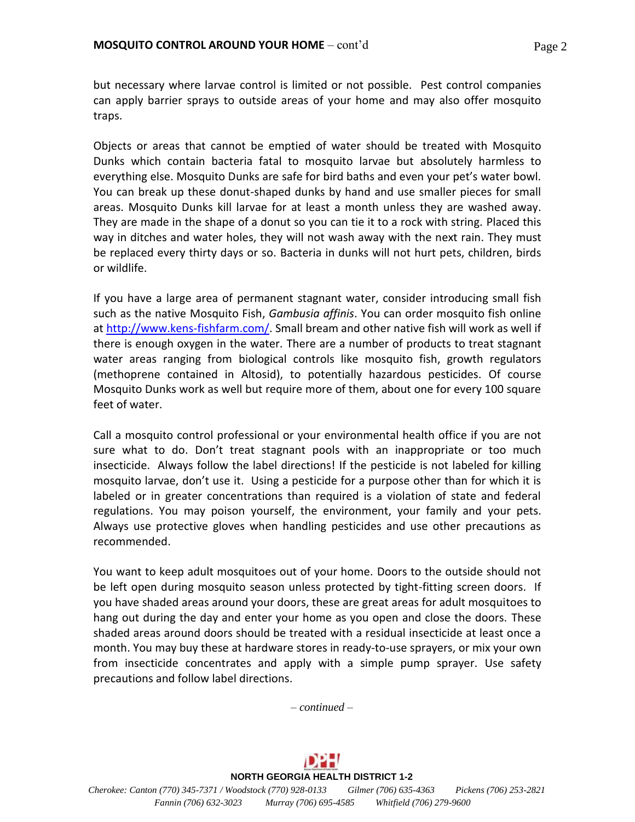but necessary where larvae control is limited or not possible. Pest control companies can apply barrier sprays to outside areas of your home and may also offer mosquito traps.

Objects or areas that cannot be emptied of water should be treated with Mosquito Dunks which contain bacteria fatal to mosquito larvae but absolutely harmless to everything else. Mosquito Dunks are safe for bird baths and even your pet's water bowl. You can break up these donut-shaped dunks by hand and use smaller pieces for small areas. Mosquito Dunks kill larvae for at least a month unless they are washed away. They are made in the shape of a donut so you can tie it to a rock with string. Placed this way in ditches and water holes, they will not wash away with the next rain. They must be replaced every thirty days or so. Bacteria in dunks will not hurt pets, children, birds or wildlife.

If you have a large area of permanent stagnant water, consider introducing small fish such as the native Mosquito Fish, *Gambusia affinis*. You can order mosquito fish online at [http://www.kens-fishfarm.com/.](http://www.kens-fishfarm.com/) Small bream and other native fish will work as well if there is enough oxygen in the water. There are a number of products to treat stagnant water areas ranging from biological controls like mosquito fish, growth regulators (methoprene contained in Altosid), to potentially hazardous pesticides. Of course Mosquito Dunks work as well but require more of them, about one for every 100 square feet of water.

Call a mosquito control professional or your environmental health office if you are not sure what to do. Don't treat stagnant pools with an inappropriate or too much insecticide. Always follow the label directions! If the pesticide is not labeled for killing mosquito larvae, don't use it. Using a pesticide for a purpose other than for which it is labeled or in greater concentrations than required is a violation of state and federal regulations. You may poison yourself, the environment, your family and your pets. Always use protective gloves when handling pesticides and use other precautions as recommended.

You want to keep adult mosquitoes out of your home. Doors to the outside should not be left open during mosquito season unless protected by tight-fitting screen doors. If you have shaded areas around your doors, these are great areas for adult mosquitoes to hang out during the day and enter your home as you open and close the doors. These shaded areas around doors should be treated with a residual insecticide at least once a month. You may buy these at hardware stores in ready-to-use sprayers, or mix your own from insecticide concentrates and apply with a simple pump sprayer. Use safety precautions and follow label directions.

*– continued –*

**NORTH GEORGIA HEALTH DISTRICT 1-2**  *Cherokee: Canton (770) 345-7371 / Woodstock (770) 928-0133 Gilmer (706) 635-4363 Pickens (706) 253-2821 Fannin (706) 632-3023 Murray (706) 695-4585 Whitfield (706) 279-9600*